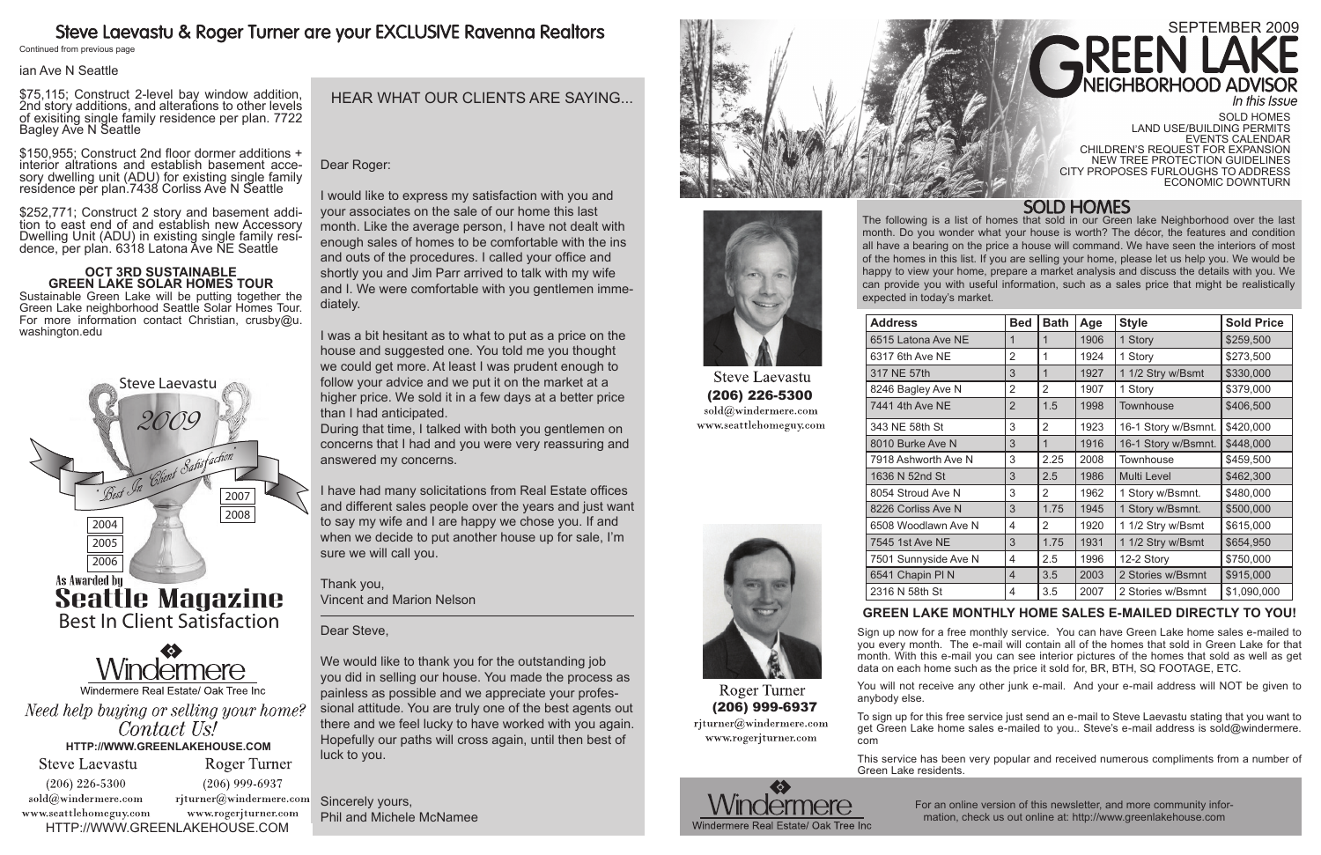# September 2009

http://www.greenlakehouse.com

The following is a list of homes that sold in our Green lake Neighborhood over the last month. Do you wonder what your house is worth? The décor, the features and condition all have a bearing on the price a house will command. We have seen the interiors of most of the homes in this list. If you are selling your home, please let us help you. We would be happy to view your home, prepare a market analysis and discuss the details with you. We can provide you with useful information, such as a sales price that might be realistically

expected in today's market.

# Steve Laevastu & Roger Turner are your EXCLUSIVE Ravenna Realtors

Continued from previous page

# **Green Lake monthly home sales e-mailed directly to you!**

Sign up now for a free monthly service. You can have Green Lake home sales e-mailed to you every month. The e-mail will contain all of the homes that sold in Green Lake for that month. With this e-mail you can see interior pictures of the homes that sold as well as get data on each home such as the price it sold for, BR, BTH, SQ FOOTAGE, ETC.

You will not receive any other junk e-mail. And your e-mail address will NOT be given to

anybody else.

To sign up for this free service just send an e-mail to Steve Laevastu stating that you want to get Green Lake home sales e-mailed to you.. Steve's e-mail address is sold@windermere. com

This service has been very popular and received numerous compliments from a number of

Green Lake residents.



For an online version of this newsletter, and more community information, check us out online at: http://www.greenlakehouse.com



| <b>Address</b>                                             | <b>Bed</b>     | <b>Bath</b>    | Age  | <b>Style</b>        | <b>Sold Price</b> |  |
|------------------------------------------------------------|----------------|----------------|------|---------------------|-------------------|--|
| 6515 Latona Ave NE                                         | 1              | $\mathbf{1}$   | 1906 | 1 Story             | \$259,500         |  |
| 6317 6th Ave NE                                            | $\overline{2}$ | 1              | 1924 | 1 Story             | \$273,500         |  |
| 317 NE 57th                                                | 3              | $\mathbf{1}$   | 1927 | 1 1/2 Stry w/Bsmt   | \$330,000         |  |
| 8246 Bagley Ave N                                          | $\overline{2}$ | $\overline{2}$ | 1907 | 1 Story             | \$379,000         |  |
| 7441 4th Ave NE                                            | $\overline{2}$ | 1.5            | 1998 | Townhouse           | \$406,500         |  |
| 343 NE 58th St                                             | 3              | 2              | 1923 | 16-1 Story w/Bsmnt. | \$420,000         |  |
| 8010 Burke Ave N                                           | 3              | 1              | 1916 | 16-1 Story w/Bsmnt. | \$448,000         |  |
| 7918 Ashworth Ave N                                        | 3              | 2.25           | 2008 | Townhouse           | \$459,500         |  |
| 1636 N 52nd St                                             | 3              | 2.5            | 1986 | Multi Level         | \$462,300         |  |
| 8054 Stroud Ave N                                          | 3              | 2              | 1962 | 1 Story w/Bsmnt.    | \$480,000         |  |
| 8226 Corliss Ave N                                         | 3              | 1.75           | 1945 | 1 Story w/Bsmnt.    | \$500,000         |  |
| 6508 Woodlawn Ave N                                        | 4              | 2              | 1920 | 1 1/2 Stry w/Bsmt   | \$615,000         |  |
| 7545 1st Ave NE                                            | 3              | 1.75           | 1931 | 1 1/2 Stry w/Bsmt   | \$654,950         |  |
| 7501 Sunnyside Ave N                                       | 4              | 2.5            | 1996 | 12-2 Story          | \$750,000         |  |
| 6541 Chapin PIN                                            | $\overline{4}$ | 3.5            | 2003 | 2 Stories w/Bsmnt   | \$915,000         |  |
| 2316 N 58th St                                             | 4              | 3.5            | 2007 | 2 Stories w/Bsmnt   | \$1,090,000       |  |
| COEEN LAVE MONTULY HOME CALES E<br>MAILER RIBECTLY TO VOLL |                |                |      |                     |                   |  |

### ian Ave N Seattle

\$75,115; Construct 2-level bay window addition, 2nd story additions, and alterations to other levels of exisiting single family residence per plan. 7722 Bagley Ave N Seattle

\$150,955; Construct 2nd floor dormer additions + interior altrations and establish basement accesory dwelling unit (ADU) for existing single family residence per plan.7438 Corliss Ave N Seattle

\$252,771; Construct 2 story and basement addi- tion to east end of and establish new Accessory Dwelling Unit (ADU) in existing single family resi- dence, per plan. 6318 Latona Ave NE Seattle

## **Oct 3rd Sustainable Green Lake Solar Homes Tour**

Sustainable Green Lake will be putting together the Green Lake neighborhood Seattle Solar Homes Tour. For more information contact Christian, crusby@u. washington.edu

# HEAR WHAT OUR CLIENTS ARE SAYING...

Dear Roger:

I would like to express my satisfaction with you and your associates on the sale of our home this last month. Like the average person, I have not dealt with enough sales of homes to be comfortable with the ins and outs of the procedures. I called your office and shortly you and Jim Parr arrived to talk with my wife and I. We were comfortable with you gentlemen immediately.

I was a bit hesitant as to what to put as a price on the house and suggested one. You told me you thought we could get more. At least I was prudent enough to follow your advice and we put it on the market at a higher price. We sold it in a few days at a better price than I had anticipated.

During that time, I talked with both you gentlemen on concerns that I had and you were very reassuring and answered my concerns.

I have had many solicitations from Real Estate offices and different sales people over the years and just want to say my wife and I are happy we chose you. If and when we decide to put another house up for sale, I'm sure we will call you.

Thank you, Vincent and Marion Nelson

Dear Steve,

We would like to thank you for the outstanding job you did in selling our house. You made the process as painless as possible and we appreciate your professional attitude. You are truly one of the best agents out there and we feel lucky to have worked with you again. Hopefully our paths will cross again, until then best of luck to you.

Sincerely yours, Phil and Michele McNamee





**Steve Laevastu** (206) 226-5300 sold@windermere.com www.seattlehomeguy.com



Roger Turner (206) 999-6937 rjturner@windermere.com www.rogerjturner.com

Sold Homes Land Use/Building Permits Events Calendar Children's request for expansion new tree protection Guidelines City proposes furloughs to address economic downturn

**SOLD HOMES**